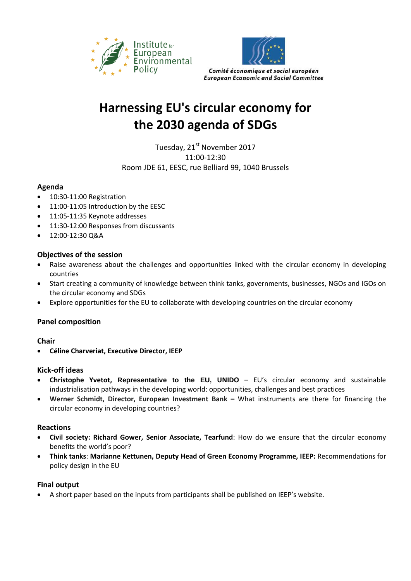



# **Harnessing EU's circular economy for the 2030 agenda of SDGs**

Tuesday, 21<sup>st</sup> November 2017 11:00-12:30 Room JDE 61, EESC, rue Belliard 99, 1040 Brussels

## **Agenda**

- 10:30-11:00 Registration
- 11:00-11:05 Introduction by the EESC
- 11:05-11:35 Keynote addresses
- $\bullet$  11:30-12:00 Responses from discussants
- 12:00-12:30 Q&A

### **Objectives of the session**

- Raise awareness about the challenges and opportunities linked with the circular economy in developing countries
- Start creating a community of knowledge between think tanks, governments, businesses, NGOs and IGOs on the circular economy and SDGs
- Explore opportunities for the EU to collaborate with developing countries on the circular economy

## **Panel composition**

#### **Chair**

**Céline Charveriat, Executive Director, IEEP**

#### **Kick-off ideas**

- **Christophe Yvetot, Representative to the EU, UNIDO** EU's circular economy and sustainable industrialisation pathways in the developing world: opportunities, challenges and best practices
- **Werner Schmidt, Director, European Investment Bank –** What instruments are there for financing the circular economy in developing countries?

#### **Reactions**

- **Civil society: Richard Gower, Senior Associate, Tearfund**: How do we ensure that the circular economy benefits the world's poor?
- **Think tanks**: **Marianne Kettunen, Deputy Head of Green Economy Programme, IEEP:** Recommendations for policy design in the EU

#### **Final output**

A short paper based on the inputs from participants shall be published on IEEP's website.